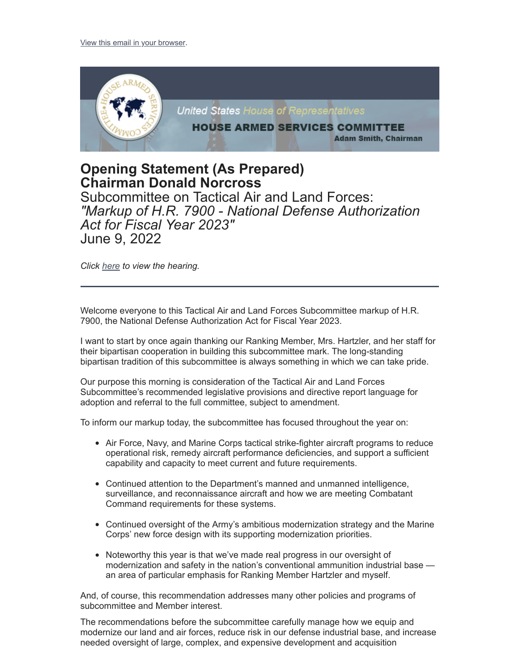

## **Opening Statement (As Prepared) Chairman Donald Norcross**

Subcommittee on Tactical Air and Land Forces: *"Markup of H.R. 7900 - National Defense Authorization Act for Fiscal Year 2023"* June 9, 2022

*Click [here](https://armedservices.house.gov/hearings?ID=AA48BEE6-92CA-45D7-A77F-BA71264FA949) to view the hearing.*

Welcome everyone to this Tactical Air and Land Forces Subcommittee markup of H.R. 7900, the National Defense Authorization Act for Fiscal Year 2023.

I want to start by once again thanking our Ranking Member, Mrs. Hartzler, and her staff for their bipartisan cooperation in building this subcommittee mark. The long-standing bipartisan tradition of this subcommittee is always something in which we can take pride.

Our purpose this morning is consideration of the Tactical Air and Land Forces Subcommittee's recommended legislative provisions and directive report language for adoption and referral to the full committee, subject to amendment.

To inform our markup today, the subcommittee has focused throughout the year on:

- Air Force, Navy, and Marine Corps tactical strike-fighter aircraft programs to reduce operational risk, remedy aircraft performance deficiencies, and support a sufficient capability and capacity to meet current and future requirements.
- Continued attention to the Department's manned and unmanned intelligence, surveillance, and reconnaissance aircraft and how we are meeting Combatant Command requirements for these systems.
- Continued oversight of the Army's ambitious modernization strategy and the Marine Corps' new force design with its supporting modernization priorities.
- Noteworthy this year is that we've made real progress in our oversight of modernization and safety in the nation's conventional ammunition industrial base an area of particular emphasis for Ranking Member Hartzler and myself.

And, of course, this recommendation addresses many other policies and programs of subcommittee and Member interest.

The recommendations before the subcommittee carefully manage how we equip and modernize our land and air forces, reduce risk in our defense industrial base, and increase needed oversight of large, complex, and expensive development and acquisition